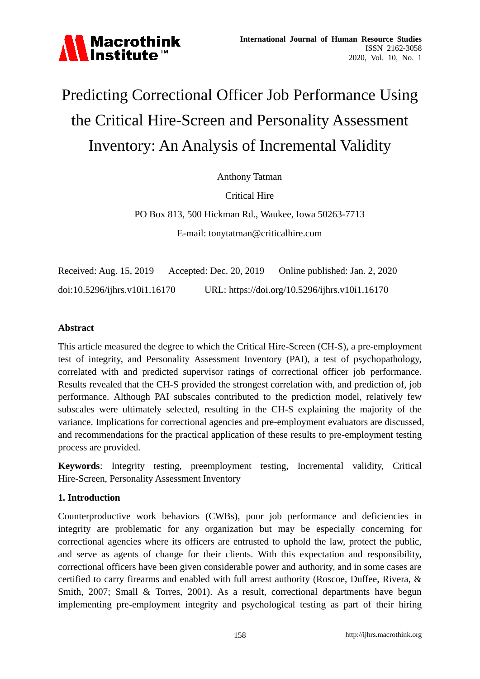

# Predicting Correctional Officer Job Performance Using the Critical Hire-Screen and Personality Assessment Inventory: An Analysis of Incremental Validity

Anthony Tatman

Critical Hire

PO Box 813, 500 Hickman Rd., Waukee, Iowa 50263-7713

E-mail: tonytatman@criticalhire.com

Received: Aug. 15, 2019 Accepted: Dec. 20, 2019 Online published: Jan. 2, 2020 doi:10.5296/ijhrs.v10i1.16170 URL: https://doi.org/10.5296/ijhrs.v10i1.16170

# **Abstract**

This article measured the degree to which the Critical Hire-Screen (CH-S), a pre-employment test of integrity, and Personality Assessment Inventory (PAI), a test of psychopathology, correlated with and predicted supervisor ratings of correctional officer job performance. Results revealed that the CH-S provided the strongest correlation with, and prediction of, job performance. Although PAI subscales contributed to the prediction model, relatively few subscales were ultimately selected, resulting in the CH-S explaining the majority of the variance. Implications for correctional agencies and pre-employment evaluators are discussed, and recommendations for the practical application of these results to pre-employment testing process are provided.

**Keywords**: Integrity testing, preemployment testing, Incremental validity, Critical Hire-Screen, Personality Assessment Inventory

# **1. Introduction**

Counterproductive work behaviors (CWBs), poor job performance and deficiencies in integrity are problematic for any organization but may be especially concerning for correctional agencies where its officers are entrusted to uphold the law, protect the public, and serve as agents of change for their clients. With this expectation and responsibility, correctional officers have been given considerable power and authority, and in some cases are certified to carry firearms and enabled with full arrest authority (Roscoe, Duffee, Rivera, & Smith, 2007; Small & Torres, 2001). As a result, correctional departments have begun implementing pre-employment integrity and psychological testing as part of their hiring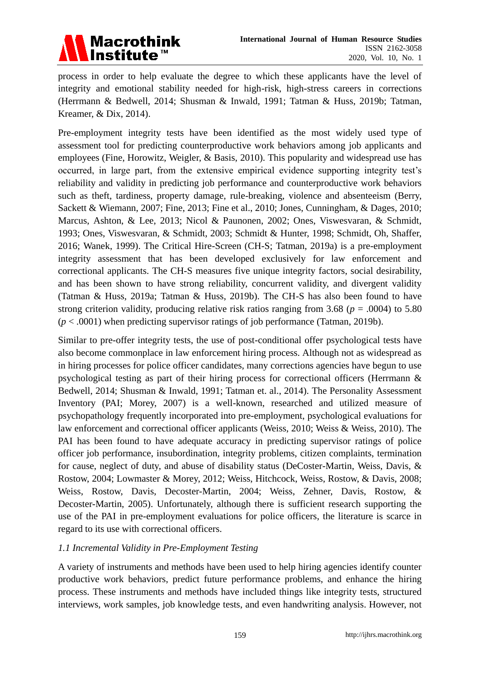

process in order to help evaluate the degree to which these applicants have the level of integrity and emotional stability needed for high-risk, high-stress careers in corrections (Herrmann & Bedwell, 2014; Shusman & Inwald, 1991; Tatman & Huss, 2019b; Tatman, Kreamer, & Dix, 2014).

Pre-employment integrity tests have been identified as the most widely used type of assessment tool for predicting counterproductive work behaviors among job applicants and employees (Fine, Horowitz, Weigler, & Basis, 2010). This popularity and widespread use has occurred, in large part, from the extensive empirical evidence supporting integrity test's reliability and validity in predicting job performance and counterproductive work behaviors such as theft, tardiness, property damage, rule-breaking, violence and absenteeism (Berry, Sackett & Wiemann, 2007; Fine, 2013; Fine et al., 2010; Jones, Cunningham, & Dages, 2010; Marcus, Ashton, & Lee, 2013; Nicol & Paunonen, 2002; Ones, Viswesvaran, & Schmidt, 1993; Ones, Viswesvaran, & Schmidt, 2003; Schmidt & Hunter, 1998; Schmidt, Oh, Shaffer, 2016; Wanek, 1999). The Critical Hire-Screen (CH-S; Tatman, 2019a) is a pre-employment integrity assessment that has been developed exclusively for law enforcement and correctional applicants. The CH-S measures five unique integrity factors, social desirability, and has been shown to have strong reliability, concurrent validity, and divergent validity (Tatman & Huss, 2019a; Tatman & Huss, 2019b). The CH-S has also been found to have strong criterion validity, producing relative risk ratios ranging from 3.68 (*p* = .0004) to 5.80 (*p* < .0001) when predicting supervisor ratings of job performance (Tatman, 2019b).

Similar to pre-offer integrity tests, the use of post-conditional offer psychological tests have also become commonplace in law enforcement hiring process. Although not as widespread as in hiring processes for police officer candidates, many corrections agencies have begun to use psychological testing as part of their hiring process for correctional officers (Herrmann & Bedwell, 2014; Shusman & Inwald, 1991; Tatman et. al., 2014). The Personality Assessment Inventory (PAI; Morey, 2007) is a well-known, researched and utilized measure of psychopathology frequently incorporated into pre-employment, psychological evaluations for law enforcement and correctional officer applicants (Weiss, 2010; Weiss & Weiss, 2010). The PAI has been found to have adequate accuracy in predicting supervisor ratings of police officer job performance, insubordination, integrity problems, citizen complaints, termination for cause, neglect of duty, and abuse of disability status (DeCoster-Martin, Weiss, Davis, & Rostow, 2004; Lowmaster & Morey, 2012; Weiss, Hitchcock, Weiss, Rostow, & Davis, 2008; Weiss, Rostow, Davis, Decoster-Martin, 2004; Weiss, Zehner, Davis, Rostow, & Decoster-Martin, 2005). Unfortunately, although there is sufficient research supporting the use of the PAI in pre-employment evaluations for police officers, the literature is scarce in regard to its use with correctional officers.

# *1.1 Incremental Validity in Pre-Employment Testing*

A variety of instruments and methods have been used to help hiring agencies identify counter productive work behaviors, predict future performance problems, and enhance the hiring process. These instruments and methods have included things like integrity tests, structured interviews, work samples, job knowledge tests, and even handwriting analysis. However, not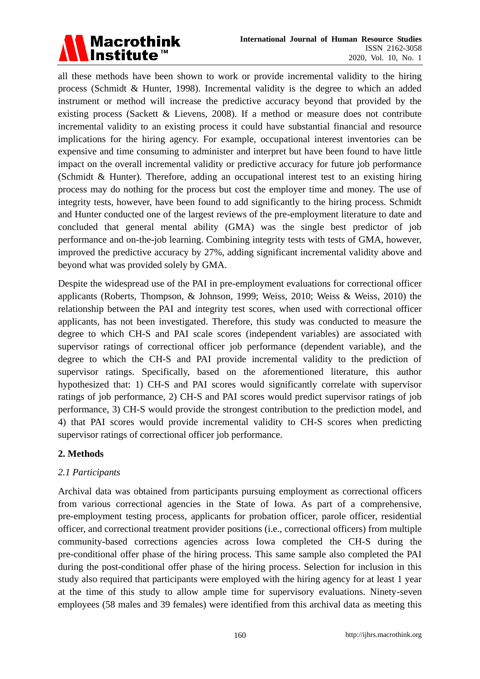

all these methods have been shown to work or provide incremental validity to the hiring process (Schmidt & Hunter, 1998). Incremental validity is the degree to which an added instrument or method will increase the predictive accuracy beyond that provided by the existing process (Sackett & Lievens, 2008). If a method or measure does not contribute incremental validity to an existing process it could have substantial financial and resource implications for the hiring agency. For example, occupational interest inventories can be expensive and time consuming to administer and interpret but have been found to have little impact on the overall incremental validity or predictive accuracy for future job performance (Schmidt & Hunter). Therefore, adding an occupational interest test to an existing hiring process may do nothing for the process but cost the employer time and money. The use of integrity tests, however, have been found to add significantly to the hiring process. Schmidt and Hunter conducted one of the largest reviews of the pre-employment literature to date and concluded that general mental ability (GMA) was the single best predictor of job performance and on-the-job learning. Combining integrity tests with tests of GMA, however, improved the predictive accuracy by 27%, adding significant incremental validity above and beyond what was provided solely by GMA.

Despite the widespread use of the PAI in pre-employment evaluations for correctional officer applicants (Roberts, Thompson, & Johnson, 1999; Weiss, 2010; Weiss & Weiss, 2010) the relationship between the PAI and integrity test scores, when used with correctional officer applicants, has not been investigated. Therefore, this study was conducted to measure the degree to which CH-S and PAI scale scores (independent variables) are associated with supervisor ratings of correctional officer job performance (dependent variable), and the degree to which the CH-S and PAI provide incremental validity to the prediction of supervisor ratings. Specifically, based on the aforementioned literature, this author hypothesized that: 1) CH-S and PAI scores would significantly correlate with supervisor ratings of job performance, 2) CH-S and PAI scores would predict supervisor ratings of job performance, 3) CH-S would provide the strongest contribution to the prediction model, and 4) that PAI scores would provide incremental validity to CH-S scores when predicting supervisor ratings of correctional officer job performance.

# **2. Methods**

# *2.1 Participants*

Archival data was obtained from participants pursuing employment as correctional officers from various correctional agencies in the State of Iowa. As part of a comprehensive, pre-employment testing process, applicants for probation officer, parole officer, residential officer, and correctional treatment provider positions (i.e., correctional officers) from multiple community-based corrections agencies across Iowa completed the CH-S during the pre-conditional offer phase of the hiring process. This same sample also completed the PAI during the post-conditional offer phase of the hiring process. Selection for inclusion in this study also required that participants were employed with the hiring agency for at least 1 year at the time of this study to allow ample time for supervisory evaluations. Ninety-seven employees (58 males and 39 females) were identified from this archival data as meeting this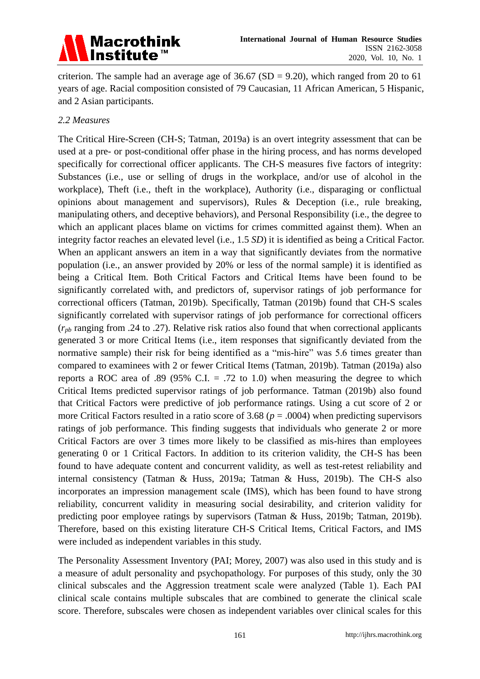# Macrothink<br>Institute™

criterion. The sample had an average age of  $36.67$  (SD = 9.20), which ranged from 20 to 61 years of age. Racial composition consisted of 79 Caucasian, 11 African American, 5 Hispanic, and 2 Asian participants.

# *2.2 Measures*

The Critical Hire-Screen (CH-S; Tatman, 2019a) is an overt integrity assessment that can be used at a pre- or post-conditional offer phase in the hiring process, and has norms developed specifically for correctional officer applicants. The CH-S measures five factors of integrity: Substances (i.e., use or selling of drugs in the workplace, and/or use of alcohol in the workplace), Theft (i.e., theft in the workplace), Authority (i.e., disparaging or conflictual opinions about management and supervisors), Rules & Deception (i.e., rule breaking, manipulating others, and deceptive behaviors), and Personal Responsibility (i.e., the degree to which an applicant places blame on victims for crimes committed against them). When an integrity factor reaches an elevated level (i.e., 1.5 *SD*) it is identified as being a Critical Factor. When an applicant answers an item in a way that significantly deviates from the normative population (i.e., an answer provided by 20% or less of the normal sample) it is identified as being a Critical Item. Both Critical Factors and Critical Items have been found to be significantly correlated with, and predictors of, supervisor ratings of job performance for correctional officers (Tatman, 2019b). Specifically, Tatman (2019b) found that CH-S scales significantly correlated with supervisor ratings of job performance for correctional officers (*rpb* ranging from .24 to .27). Relative risk ratios also found that when correctional applicants generated 3 or more Critical Items (i.e., item responses that significantly deviated from the normative sample) their risk for being identified as a "mis-hire" was 5.6 times greater than compared to examinees with 2 or fewer Critical Items (Tatman, 2019b). Tatman (2019a) also reports a ROC area of .89 (95% C.I.  $= .72$  to 1.0) when measuring the degree to which Critical Items predicted supervisor ratings of job performance. Tatman (2019b) also found that Critical Factors were predictive of job performance ratings. Using a cut score of 2 or more Critical Factors resulted in a ratio score of  $3.68$  ( $p = .0004$ ) when predicting supervisors ratings of job performance. This finding suggests that individuals who generate 2 or more Critical Factors are over 3 times more likely to be classified as mis-hires than employees generating 0 or 1 Critical Factors. In addition to its criterion validity, the CH-S has been found to have adequate content and concurrent validity, as well as test-retest reliability and internal consistency (Tatman & Huss, 2019a; Tatman & Huss, 2019b). The CH-S also incorporates an impression management scale (IMS), which has been found to have strong reliability, concurrent validity in measuring social desirability, and criterion validity for predicting poor employee ratings by supervisors (Tatman & Huss, 2019b; Tatman, 2019b). Therefore, based on this existing literature CH-S Critical Items, Critical Factors, and IMS were included as independent variables in this study.

The Personality Assessment Inventory (PAI; Morey, 2007) was also used in this study and is a measure of adult personality and psychopathology. For purposes of this study, only the 30 clinical subscales and the Aggression treatment scale were analyzed (Table 1). Each PAI clinical scale contains multiple subscales that are combined to generate the clinical scale score. Therefore, subscales were chosen as independent variables over clinical scales for this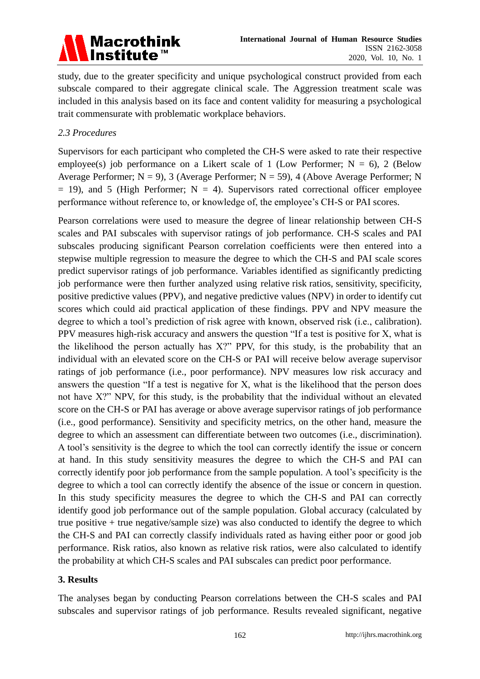# Macrothink<br>Institute™

study, due to the greater specificity and unique psychological construct provided from each subscale compared to their aggregate clinical scale. The Aggression treatment scale was included in this analysis based on its face and content validity for measuring a psychological trait commensurate with problematic workplace behaviors.

# *2.3 Procedures*

Supervisors for each participant who completed the CH-S were asked to rate their respective employee(s) job performance on a Likert scale of 1 (Low Performer;  $N = 6$ ), 2 (Below Average Performer;  $N = 9$ ), 3 (Average Performer;  $N = 59$ ), 4 (Above Average Performer; N  $= 19$ ), and 5 (High Performer; N  $= 4$ ). Supervisors rated correctional officer employee performance without reference to, or knowledge of, the employee's CH-S or PAI scores.

Pearson correlations were used to measure the degree of linear relationship between CH-S scales and PAI subscales with supervisor ratings of job performance. CH-S scales and PAI subscales producing significant Pearson correlation coefficients were then entered into a stepwise multiple regression to measure the degree to which the CH-S and PAI scale scores predict supervisor ratings of job performance. Variables identified as significantly predicting job performance were then further analyzed using relative risk ratios, sensitivity, specificity, positive predictive values (PPV), and negative predictive values (NPV) in order to identify cut scores which could aid practical application of these findings. PPV and NPV measure the degree to which a tool's prediction of risk agree with known, observed risk (i.e., calibration). PPV measures high-risk accuracy and answers the question "If a test is positive for X, what is the likelihood the person actually has X?" PPV, for this study, is the probability that an individual with an elevated score on the CH-S or PAI will receive below average supervisor ratings of job performance (i.e., poor performance). NPV measures low risk accuracy and answers the question "If a test is negative for X, what is the likelihood that the person does not have X?" NPV, for this study, is the probability that the individual without an elevated score on the CH-S or PAI has average or above average supervisor ratings of job performance (i.e., good performance). Sensitivity and specificity metrics, on the other hand, measure the degree to which an assessment can differentiate between two outcomes (i.e., discrimination). A tool's sensitivity is the degree to which the tool can correctly identify the issue or concern at hand. In this study sensitivity measures the degree to which the CH-S and PAI can correctly identify poor job performance from the sample population. A tool's specificity is the degree to which a tool can correctly identify the absence of the issue or concern in question. In this study specificity measures the degree to which the CH-S and PAI can correctly identify good job performance out of the sample population. Global accuracy (calculated by true positive + true negative/sample size) was also conducted to identify the degree to which the CH-S and PAI can correctly classify individuals rated as having either poor or good job performance. Risk ratios, also known as relative risk ratios, were also calculated to identify the probability at which CH-S scales and PAI subscales can predict poor performance.

# **3. Results**

The analyses began by conducting Pearson correlations between the CH-S scales and PAI subscales and supervisor ratings of job performance. Results revealed significant, negative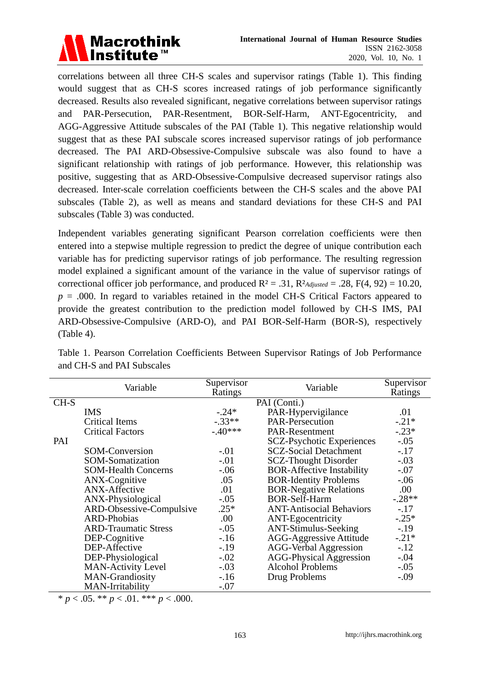

correlations between all three CH-S scales and supervisor ratings (Table 1). This finding would suggest that as CH-S scores increased ratings of job performance significantly decreased. Results also revealed significant, negative correlations between supervisor ratings and PAR-Persecution, PAR-Resentment, BOR-Self-Harm, ANT-Egocentricity, and AGG-Aggressive Attitude subscales of the PAI (Table 1). This negative relationship would suggest that as these PAI subscale scores increased supervisor ratings of job performance decreased. The PAI ARD-Obsessive-Compulsive subscale was also found to have a significant relationship with ratings of job performance. However, this relationship was positive, suggesting that as ARD-Obsessive-Compulsive decreased supervisor ratings also decreased. Inter-scale correlation coefficients between the CH-S scales and the above PAI subscales (Table 2), as well as means and standard deviations for these CH-S and PAI subscales (Table 3) was conducted.

Independent variables generating significant Pearson correlation coefficients were then entered into a stepwise multiple regression to predict the degree of unique contribution each variable has for predicting supervisor ratings of job performance. The resulting regression model explained a significant amount of the variance in the value of supervisor ratings of correctional officer job performance, and produced  $R^2 = .31$ ,  $R^2$ *Adjusted* = .28,  $F(4, 92) = 10.20$ , *p* = .000. In regard to variables retained in the model CH-S Critical Factors appeared to provide the greatest contribution to the prediction model followed by CH-S IMS, PAI ARD-Obsessive-Compulsive (ARD-O), and PAI BOR-Self-Harm (BOR-S), respectively (Table 4).

|        | Variable                    | Supervisor<br>Ratings | Variable                         | Supervisor<br>Ratings |
|--------|-----------------------------|-----------------------|----------------------------------|-----------------------|
| $CH-S$ |                             |                       | PAI (Conti.)                     |                       |
|        | <b>IMS</b>                  | $-.24*$               | PAR-Hypervigilance               | .01                   |
|        | <b>Critical Items</b>       | $-.33**$              | PAR-Persecution                  | $-.21*$               |
|        | <b>Critical Factors</b>     | $-.40***$             | PAR-Resentment                   | $-.23*$               |
| PAI    |                             |                       | <b>SCZ-Psychotic Experiences</b> | $-.05$                |
|        | <b>SOM-Conversion</b>       | $-.01$                | <b>SCZ-Social Detachment</b>     | $-.17$                |
|        | SOM-Somatization            | $-.01$                | <b>SCZ-Thought Disorder</b>      | $-.03$                |
|        | <b>SOM-Health Concerns</b>  | $-.06$                | <b>BOR-Affective Instability</b> | $-.07$                |
|        | ANX-Cognitive               | .05                   | <b>BOR-Identity Problems</b>     | $-.06$                |
|        | <b>ANX-Affective</b>        | .01                   | <b>BOR-Negative Relations</b>    | .00                   |
|        | ANX-Physiological           | $-.05$                | <b>BOR-Self-Harm</b>             | $-.28**$              |
|        | ARD-Obsessive-Compulsive    | $.25*$                | <b>ANT-Antisocial Behaviors</b>  | $-.17$                |
|        | <b>ARD-Phobias</b>          | .00.                  | <b>ANT-Egocentricity</b>         | $-.25*$               |
|        | <b>ARD-Traumatic Stress</b> | $-.05$                | <b>ANT-Stimulus-Seeking</b>      | $-.19$                |
|        | DEP-Cognitive               | $-.16$                | AGG-Aggressive Attitude          | $-.21*$               |
|        | DEP-Affective               | $-.19$                | <b>AGG-Verbal Aggression</b>     | $-.12$                |
|        | DEP-Physiological           | $-.02$                | <b>AGG-Physical Aggression</b>   | $-.04$                |
|        | <b>MAN-Activity Level</b>   | $-.03$                | Alcohol Problems                 | $-.05$                |
|        | MAN-Grandiosity             | $-.16$                | Drug Problems                    | $-.09$                |
|        | MAN-Irritability            | $-.07$                |                                  |                       |

Table 1. Pearson Correlation Coefficients Between Supervisor Ratings of Job Performance and CH-S and PAI Subscales

 $* p < .05. ** p < .01.*** p < .000.$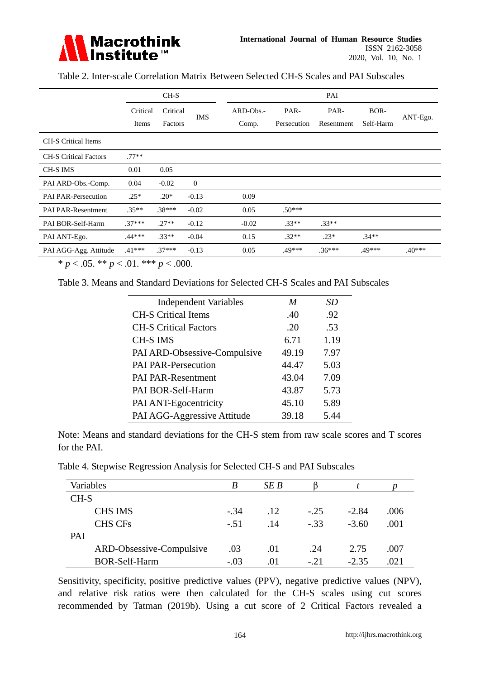

Table 2. Inter-scale Correlation Matrix Between Selected CH-S Scales and PAI Subscales

|                              | $CH-S$            |                     |                | PAI                |                     |                    |                   |          |
|------------------------------|-------------------|---------------------|----------------|--------------------|---------------------|--------------------|-------------------|----------|
|                              | Critical<br>Items | Critical<br>Factors | <b>IMS</b>     | ARD-Obs.-<br>Comp. | PAR-<br>Persecution | PAR-<br>Resentment | BOR-<br>Self-Harm | ANT-Ego. |
| <b>CH-S Critical Items</b>   |                   |                     |                |                    |                     |                    |                   |          |
| <b>CH-S Critical Factors</b> | $.77**$           |                     |                |                    |                     |                    |                   |          |
| CH-S IMS                     | 0.01              | 0.05                |                |                    |                     |                    |                   |          |
| PAI ARD-Obs.-Comp.           | 0.04              | $-0.02$             | $\overline{0}$ |                    |                     |                    |                   |          |
| <b>PAI PAR-Persecution</b>   | $.25*$            | $.20*$              | $-0.13$        | 0.09               |                     |                    |                   |          |
| <b>PAI PAR-Resentment</b>    | $.35**$           | $.38***$            | $-0.02$        | 0.05               | $.50***$            |                    |                   |          |
| PAI BOR-Self-Harm            | $37***$           | $.27**$             | $-0.12$        | $-0.02$            | $.33**$             | $.33**$            |                   |          |
| PAI ANT-Ego.                 | .44***            | $.33**$             | $-0.04$        | 0.15               | $.32**$             | $.23*$             | $.34**$           |          |
| PAI AGG-Agg. Attitude        | $.41***$          | $.37***$            | $-0.13$        | 0.05               | $.49***$            | $.36***$           | .49***            | $.40***$ |

 $* p < .05. ** p < .01.*** p < .000.$ 

Table 3. Means and Standard Deviations for Selected CH-S Scales and PAI Subscales

| <b>Independent Variables</b> | M     | SD   |
|------------------------------|-------|------|
| <b>CH-S Critical Items</b>   | .40   | .92  |
| <b>CH-S Critical Factors</b> | .20   | .53  |
| <b>CH-S IMS</b>              | 6.71  | 1.19 |
| PAI ARD-Obsessive-Compulsive | 49.19 | 7.97 |
| <b>PAI PAR-Persecution</b>   | 44.47 | 5.03 |
| <b>PAI PAR-Resentment</b>    | 43.04 | 7.09 |
| PAI BOR-Self-Harm            | 43.87 | 5.73 |
| PAI ANT-Egocentricity        | 45.10 | 5.89 |
| PAI AGG-Aggressive Attitude  | 39.18 | 5.44 |

Note: Means and standard deviations for the CH-S stem from raw scale scores and T scores for the PAI.

Table 4. Stepwise Regression Analysis for Selected CH-S and PAI Subscales

| Variables  |                          | B      | SE B |        |         |      |
|------------|--------------------------|--------|------|--------|---------|------|
| $CH-S$     |                          |        |      |        |         |      |
|            | <b>CHS IMS</b>           | $-.34$ | .12  | $-.25$ | $-2.84$ | .006 |
|            | <b>CHS CFs</b>           | $-.51$ | .14  | $-.33$ | $-3.60$ | .001 |
| <b>PAI</b> |                          |        |      |        |         |      |
|            | ARD-Obsessive-Compulsive | .03    | .01  | .24    | 2.75    | .007 |
|            | <b>BOR-Self-Harm</b>     | $-.03$ | .01  | $-.21$ | $-2.35$ | .021 |

Sensitivity, specificity, positive predictive values (PPV), negative predictive values (NPV), and relative risk ratios were then calculated for the CH-S scales using cut scores recommended by Tatman (2019b). Using a cut score of 2 Critical Factors revealed a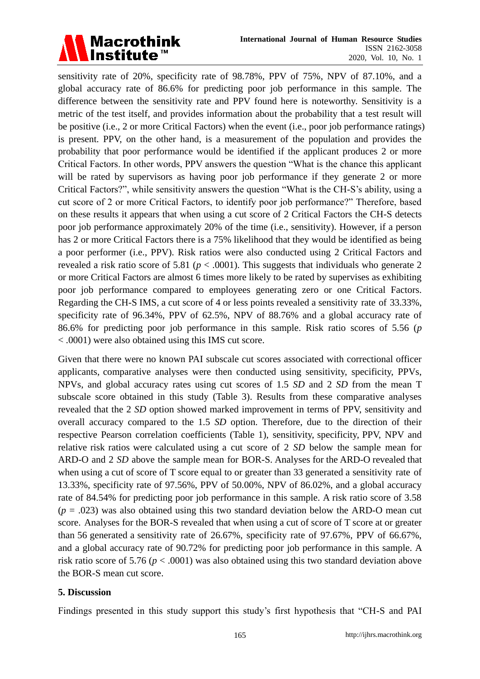

sensitivity rate of 20%, specificity rate of 98.78%, PPV of 75%, NPV of 87.10%, and a global accuracy rate of 86.6% for predicting poor job performance in this sample. The difference between the sensitivity rate and PPV found here is noteworthy. Sensitivity is a metric of the test itself, and provides information about the probability that a test result will be positive (i.e., 2 or more Critical Factors) when the event (i.e., poor job performance ratings) is present. PPV, on the other hand, is a measurement of the population and provides the probability that poor performance would be identified if the applicant produces 2 or more Critical Factors. In other words, PPV answers the question "What is the chance this applicant will be rated by supervisors as having poor job performance if they generate 2 or more Critical Factors?", while sensitivity answers the question "What is the CH-S's ability, using a cut score of 2 or more Critical Factors, to identify poor job performance?" Therefore, based on these results it appears that when using a cut score of 2 Critical Factors the CH-S detects poor job performance approximately 20% of the time (i.e., sensitivity). However, if a person has 2 or more Critical Factors there is a 75% likelihood that they would be identified as being a poor performer (i.e., PPV). Risk ratios were also conducted using 2 Critical Factors and revealed a risk ratio score of 5.81 ( $p < .0001$ ). This suggests that individuals who generate 2 or more Critical Factors are almost 6 times more likely to be rated by supervises as exhibiting poor job performance compared to employees generating zero or one Critical Factors. Regarding the CH-S IMS, a cut score of 4 or less points revealed a sensitivity rate of 33.33%, specificity rate of 96.34%, PPV of 62.5%, NPV of 88.76% and a global accuracy rate of 86.6% for predicting poor job performance in this sample. Risk ratio scores of 5.56 (*p* < .0001) were also obtained using this IMS cut score.

Given that there were no known PAI subscale cut scores associated with correctional officer applicants, comparative analyses were then conducted using sensitivity, specificity, PPVs, NPVs, and global accuracy rates using cut scores of 1.5 *SD* and 2 *SD* from the mean T subscale score obtained in this study (Table 3). Results from these comparative analyses revealed that the 2 *SD* option showed marked improvement in terms of PPV, sensitivity and overall accuracy compared to the 1.5 *SD* option. Therefore, due to the direction of their respective Pearson correlation coefficients (Table 1), sensitivity, specificity, PPV, NPV and relative risk ratios were calculated using a cut score of 2 *SD* below the sample mean for ARD-O and 2 *SD* above the sample mean for BOR-S. Analyses for the ARD-O revealed that when using a cut of score of T score equal to or greater than 33 generated a sensitivity rate of 13.33%, specificity rate of 97.56%, PPV of 50.00%, NPV of 86.02%, and a global accuracy rate of 84.54% for predicting poor job performance in this sample. A risk ratio score of 3.58  $(p = .023)$  was also obtained using this two standard deviation below the ARD-O mean cut score. Analyses for the BOR-S revealed that when using a cut of score of T score at or greater than 56 generated a sensitivity rate of 26.67%, specificity rate of 97.67%, PPV of 66.67%, and a global accuracy rate of 90.72% for predicting poor job performance in this sample. A risk ratio score of 5.76 ( $p < .0001$ ) was also obtained using this two standard deviation above the BOR-S mean cut score.

#### **5. Discussion**

Findings presented in this study support this study's first hypothesis that "CH-S and PAI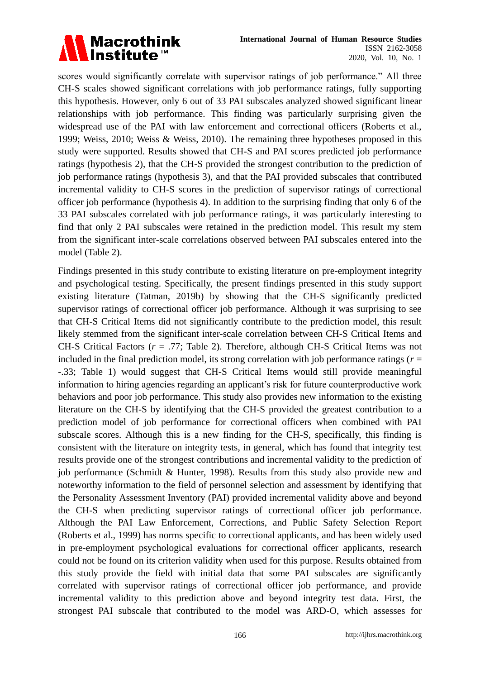

scores would significantly correlate with supervisor ratings of job performance." All three CH-S scales showed significant correlations with job performance ratings, fully supporting this hypothesis. However, only 6 out of 33 PAI subscales analyzed showed significant linear relationships with job performance. This finding was particularly surprising given the widespread use of the PAI with law enforcement and correctional officers (Roberts et al., 1999; Weiss, 2010; Weiss & Weiss, 2010). The remaining three hypotheses proposed in this study were supported. Results showed that CH-S and PAI scores predicted job performance ratings (hypothesis 2), that the CH-S provided the strongest contribution to the prediction of job performance ratings (hypothesis 3), and that the PAI provided subscales that contributed incremental validity to CH-S scores in the prediction of supervisor ratings of correctional officer job performance (hypothesis 4). In addition to the surprising finding that only 6 of the 33 PAI subscales correlated with job performance ratings, it was particularly interesting to find that only 2 PAI subscales were retained in the prediction model. This result my stem from the significant inter-scale correlations observed between PAI subscales entered into the model (Table 2).

Findings presented in this study contribute to existing literature on pre-employment integrity and psychological testing. Specifically, the present findings presented in this study support existing literature (Tatman, 2019b) by showing that the CH-S significantly predicted supervisor ratings of correctional officer job performance. Although it was surprising to see that CH-S Critical Items did not significantly contribute to the prediction model, this result likely stemmed from the significant inter-scale correlation between CH-S Critical Items and CH-S Critical Factors (*r* = .77; Table 2). Therefore, although CH-S Critical Items was not included in the final prediction model, its strong correlation with job performance ratings ( $r =$ -.33; Table 1) would suggest that CH-S Critical Items would still provide meaningful information to hiring agencies regarding an applicant's risk for future counterproductive work behaviors and poor job performance. This study also provides new information to the existing literature on the CH-S by identifying that the CH-S provided the greatest contribution to a prediction model of job performance for correctional officers when combined with PAI subscale scores. Although this is a new finding for the CH-S, specifically, this finding is consistent with the literature on integrity tests, in general, which has found that integrity test results provide one of the strongest contributions and incremental validity to the prediction of job performance (Schmidt & Hunter, 1998). Results from this study also provide new and noteworthy information to the field of personnel selection and assessment by identifying that the Personality Assessment Inventory (PAI) provided incremental validity above and beyond the CH-S when predicting supervisor ratings of correctional officer job performance. Although the PAI Law Enforcement, Corrections, and Public Safety Selection Report (Roberts et al., 1999) has norms specific to correctional applicants, and has been widely used in pre-employment psychological evaluations for correctional officer applicants, research could not be found on its criterion validity when used for this purpose. Results obtained from this study provide the field with initial data that some PAI subscales are significantly correlated with supervisor ratings of correctional officer job performance, and provide incremental validity to this prediction above and beyond integrity test data. First, the strongest PAI subscale that contributed to the model was ARD-O, which assesses for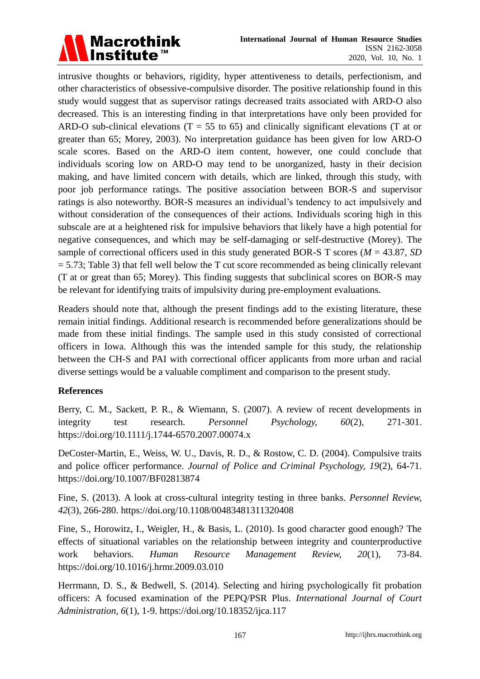

intrusive thoughts or behaviors, rigidity, hyper attentiveness to details, perfectionism, and other characteristics of obsessive-compulsive disorder. The positive relationship found in this study would suggest that as supervisor ratings decreased traits associated with ARD-O also decreased. This is an interesting finding in that interpretations have only been provided for ARD-O sub-clinical elevations ( $T = 55$  to 65) and clinically significant elevations (T at or greater than 65; Morey, 2003). No interpretation guidance has been given for low ARD-O scale scores. Based on the ARD-O item content, however, one could conclude that individuals scoring low on ARD-O may tend to be unorganized, hasty in their decision making, and have limited concern with details, which are linked, through this study, with poor job performance ratings. The positive association between BOR-S and supervisor ratings is also noteworthy. BOR-S measures an individual's tendency to act impulsively and without consideration of the consequences of their actions. Individuals scoring high in this subscale are at a heightened risk for impulsive behaviors that likely have a high potential for negative consequences, and which may be self-damaging or self-destructive (Morey). The sample of correctional officers used in this study generated BOR-S T scores ( $M = 43.87$ , *SD*  $= 5.73$ ; Table 3) that fell well below the T cut score recommended as being clinically relevant (T at or great than 65; Morey). This finding suggests that subclinical scores on BOR-S may be relevant for identifying traits of impulsivity during pre-employment evaluations.

Readers should note that, although the present findings add to the existing literature, these remain initial findings. Additional research is recommended before generalizations should be made from these initial findings. The sample used in this study consisted of correctional officers in Iowa. Although this was the intended sample for this study, the relationship between the CH-S and PAI with correctional officer applicants from more urban and racial diverse settings would be a valuable compliment and comparison to the present study.

# **References**

Berry, C. M., Sackett, P. R., & Wiemann, S. (2007). A review of recent developments in integrity test research. *Personnel Psychology, 60*(2)*,* 271-301. <https://doi.org/10.1111/j.1744-6570.2007.00074.x>

DeCoster-Martin, E., Weiss, W. U., Davis, R. D., & Rostow, C. D. (2004). Compulsive traits and police officer performance. *Journal of Police and Criminal Psychology, 19*(2), 64-71. <https://doi.org/10.1007/BF02813874>

Fine, S. (2013). A look at cross-cultural integrity testing in three banks. *Personnel Review, 42*(3), 266-280.<https://doi.org/10.1108/00483481311320408>

Fine, S., Horowitz, I., Weigler, H., & Basis, L. (2010). Is good character good enough? The effects of situational variables on the relationship between integrity and counterproductive work behaviors. *Human Resource Management Review, 20*(1), 73-84. <https://doi.org/10.1016/j.hrmr.2009.03.010>

Herrmann, D. S., & Bedwell, S. (2014). Selecting and hiring psychologically fit probation officers: A focused examination of the PEPQ/PSR Plus. *International Journal of Court Administration, 6*(1), 1-9.<https://doi.org/10.18352/ijca.117>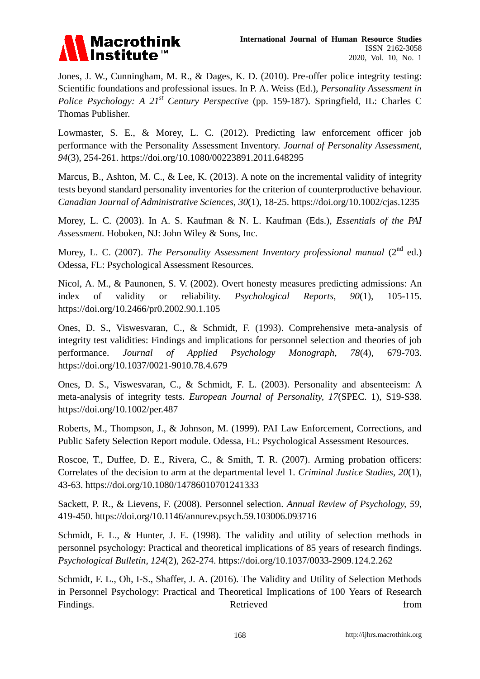

Jones, J. W., Cunningham, M. R., & Dages, K. D. (2010). Pre-offer police integrity testing: Scientific foundations and professional issues. In P. A. Weiss (Ed.), *Personality Assessment in Police Psychology: A 21st Century Perspective* (pp. 159-187). Springfield, IL: Charles C Thomas Publisher.

Lowmaster, S. E., & Morey, L. C. (2012). Predicting law enforcement officer job performance with the Personality Assessment Inventory. *Journal of Personality Assessment, 94*(3), 254-261.<https://doi.org/10.1080/00223891.2011.648295>

Marcus, B., Ashton, M. C., & Lee, K. (2013). A note on the incremental validity of integrity tests beyond standard personality inventories for the criterion of counterproductive behaviour. *Canadian Journal of Administrative Sciences, 30*(1), 18-25.<https://doi.org/10.1002/cjas.1235>

Morey, L. C. (2003). In A. S. Kaufman & N. L. Kaufman (Eds.), *Essentials of the PAI Assessment.* Hoboken, NJ: John Wiley & Sons, Inc.

Morey, L. C. (2007). *The Personality Assessment Inventory professional manual* (2<sup>nd</sup> ed.) Odessa, FL: Psychological Assessment Resources.

Nicol, A. M., & Paunonen, S. V. (2002). Overt honesty measures predicting admissions: An index of validity or reliability. *Psychological Reports, 90*(1)*,* 105-115. <https://doi.org/10.2466/pr0.2002.90.1.105>

Ones, D. S., Viswesvaran, C., & Schmidt, F. (1993). Comprehensive meta-analysis of integrity test validities: Findings and implications for personnel selection and theories of job performance. *Journal of Applied Psychology Monograph, 78*(4), 679-703. <https://doi.org/10.1037/0021-9010.78.4.679>

Ones, D. S., Viswesvaran, C., & Schmidt, F. L. (2003). Personality and absenteeism: A meta-analysis of integrity tests. *European Journal of Personality, 17*(SPEC. 1)*,* S19-S38. <https://doi.org/10.1002/per.487>

Roberts, M., Thompson, J., & Johnson, M. (1999). PAI Law Enforcement, Corrections, and Public Safety Selection Report module. Odessa, FL: Psychological Assessment Resources.

Roscoe, T., Duffee, D. E., Rivera, C., & Smith, T. R. (2007). Arming probation officers: Correlates of the decision to arm at the departmental level 1. *Criminal Justice Studies, 20*(1), 43-63.<https://doi.org/10.1080/14786010701241333>

Sackett, P. R., & Lievens, F. (2008). Personnel selection. *Annual Review of Psychology, 59*, 419-450.<https://doi.org/10.1146/annurev.psych.59.103006.093716>

Schmidt, F. L., & Hunter, J. E. (1998). The validity and utility of selection methods in personnel psychology: Practical and theoretical implications of 85 years of research findings. *Psychological Bulletin, 124*(2)*,* 262-274.<https://doi.org/10.1037/0033-2909.124.2.262>

Schmidt, F. L., Oh, I-S., Shaffer, J. A. (2016). The Validity and Utility of Selection Methods in Personnel Psychology: Practical and Theoretical Implications of 100 Years of Research Findings. The results of the Retrieved from the set of the set of the set of the set of the set of the set of the set of the set of the set of the set of the set of the set of the set of the set of the set of the set of th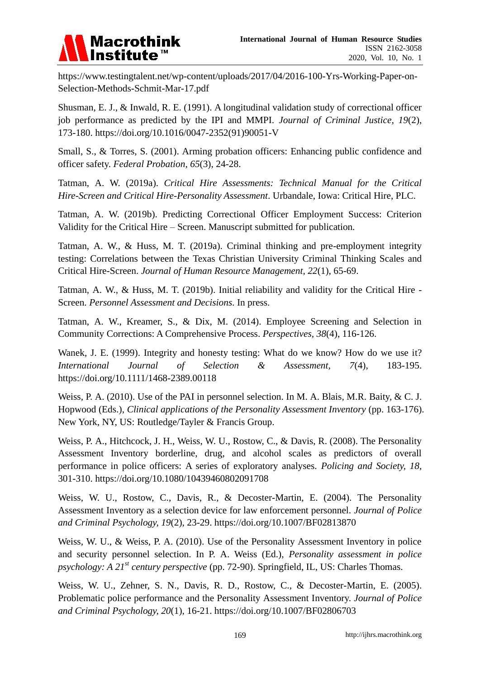

[https://www.testingtalent.net/wp-content/uploads/2017/04/2016-100-Yrs-Working-Paper-on-](https://www.testingtalent.net/wp-content/uploads/2017/04/2016-100-Yrs-Working-Paper-on-Selection-Methods-Schmit-Mar-17.pdf)[Selection-Methods-Schmit-Mar-17.pdf](https://www.testingtalent.net/wp-content/uploads/2017/04/2016-100-Yrs-Working-Paper-on-Selection-Methods-Schmit-Mar-17.pdf)

Shusman, E. J., & Inwald, R. E. (1991). A longitudinal validation study of correctional officer job performance as predicted by the IPI and MMPI. *Journal of Criminal Justice, 19*(2), 173-180. [https://doi.org/10.1016/0047-2352\(91\)90051-V](https://doi.org/10.1016/0047-2352(91)90051-V)

Small, S., & Torres, S. (2001). Arming probation officers: Enhancing public confidence and officer safety. *Federal Probation, 65*(3), 24-28.

Tatman, A. W. (2019a). *Critical Hire Assessments: Technical Manual for the Critical Hire-Screen and Critical Hire-Personality Assessment*. Urbandale, Iowa: Critical Hire, PLC.

Tatman, A. W. (2019b). Predicting Correctional Officer Employment Success: Criterion Validity for the Critical Hire – Screen. Manuscript submitted for publication*.*

Tatman, A. W., & Huss, M. T. (2019a). Criminal thinking and pre-employment integrity testing: Correlations between the Texas Christian University Criminal Thinking Scales and Critical Hire-Screen. *Journal of Human Resource Management, 22*(1), 65-69.

Tatman, A. W., & Huss, M. T. (2019b). Initial reliability and validity for the Critical Hire - Screen. *Personnel Assessment and Decisions.* In press.

Tatman, A. W., Kreamer, S., & Dix, M. (2014). Employee Screening and Selection in Community Corrections: A Comprehensive Process. *Perspectives, 38*(4), 116-126.

Wanek, J. E. (1999). Integrity and honesty testing: What do we know? How do we use it? *International Journal of Selection & Assessment, 7*(4), 183-195. <https://doi.org/10.1111/1468-2389.00118>

Weiss, P. A. (2010). Use of the PAI in personnel selection. In M. A. Blais, M.R. Baity, & C. J. Hopwood (Eds.), *Clinical applications of the Personality Assessment Inventory* (pp. 163-176). New York, NY, US: Routledge/Tayler & Francis Group.

Weiss, P. A., Hitchcock, J. H., Weiss, W. U., Rostow, C., & Davis, R. (2008). The Personality Assessment Inventory borderline, drug, and alcohol scales as predictors of overall performance in police officers: A series of exploratory analyses. *Policing and Society, 18,*  301-310. <https://doi.org/10.1080/10439460802091708>

Weiss, W. U., Rostow, C., Davis, R., & Decoster-Martin, E. (2004). The Personality Assessment Inventory as a selection device for law enforcement personnel. *Journal of Police and Criminal Psychology, 19*(2), 23-29.<https://doi.org/10.1007/BF02813870>

Weiss, W. U., & Weiss, P. A. (2010). Use of the Personality Assessment Inventory in police and security personnel selection. In P. A. Weiss (Ed.), *Personality assessment in police psychology: A 21st century perspective* (pp. 72-90). Springfield, IL, US: Charles Thomas.

Weiss, W. U., Zehner, S. N., Davis, R. D., Rostow, C., & Decoster-Martin, E. (2005). Problematic police performance and the Personality Assessment Inventory. *Journal of Police and Criminal Psychology, 20*(1), 16-21.<https://doi.org/10.1007/BF02806703>